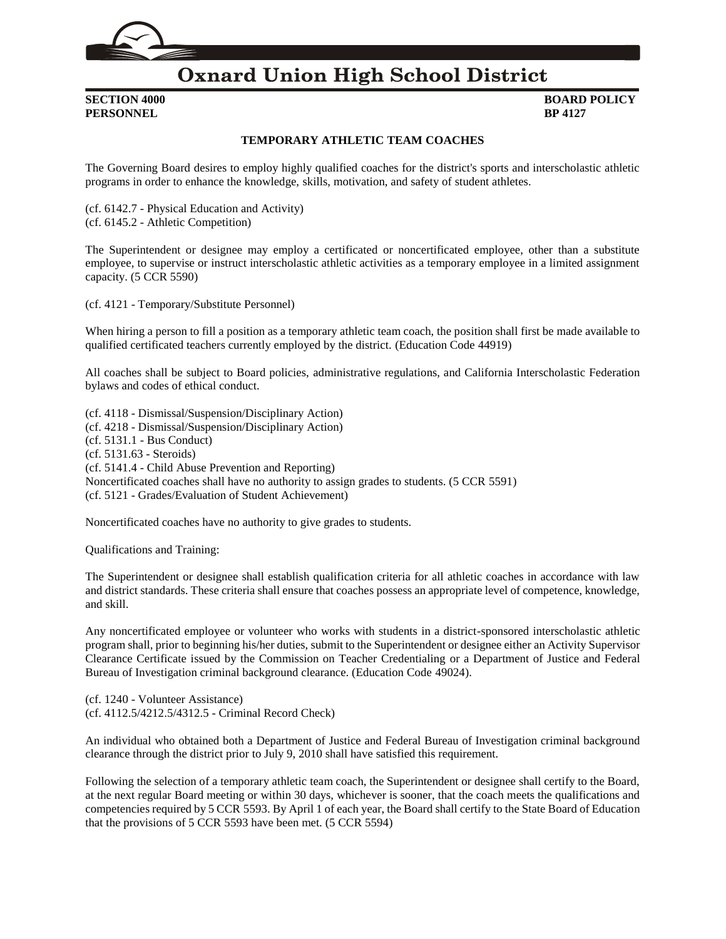

# **Oxnard Union High School District**

**PERSONNEL BP 4127**

# **SECTION 4000 BOARD POLICY**

### **TEMPORARY ATHLETIC TEAM COACHES**

The Governing Board desires to employ highly qualified coaches for the district's sports and interscholastic athletic programs in order to enhance the knowledge, skills, motivation, and safety of student athletes.

(cf. [6142.7](http://gamutonline.net/displayPolicy/1036974/4) - Physical Education and Activity) (cf. [6145.2](http://gamutonline.net/displayPolicy/1075010/4) - Athletic Competition)

The Superintendent or designee may employ a certificated or noncertificated employee, other than a substitute employee, to supervise or instruct interscholastic athletic activities as a temporary employee in a limited assignment capacity. (5 CCR [5590\)](http://gamutonline.net/displayPolicy/187069/4)

(cf. [4121](http://gamutonline.net/displayPolicy/746958/4) - Temporary/Substitute Personnel)

When hiring a person to fill a position as a temporary athletic team coach, the position shall first be made available to qualified certificated teachers currently employed by the district. (Education Code [44919\)](http://gamutonline.net/displayPolicy/131013/4)

All coaches shall be subject to Board policies, administrative regulations, and California Interscholastic Federation bylaws and codes of ethical conduct.

(cf. [4118](http://gamutonline.net/displayPolicy/931143/4) - Dismissal/Suspension/Disciplinary Action) (cf. [4218](http://gamutonline.net/displayPolicy/170827/4) - Dismissal/Suspension/Disciplinary Action) (cf. [5131.1](http://gamutonline.net/displayPolicy/170885/4) - Bus Conduct) (cf. [5131.63](http://gamutonline.net/displayPolicy/171232/4) - Steroids) (cf. [5141.4](http://gamutonline.net/displayPolicy/352660/4) - Child Abuse Prevention and Reporting) Noncertificated coaches shall have no authority to assign grades to students. (5 CCR [5591\)](http://gamutonline.net/displayPolicy/187070/4) (cf. [5121](http://gamutonline.net/displayPolicy/1053072/4) - Grades/Evaluation of Student Achievement)

Noncertificated coaches have no authority to give grades to students.

Qualifications and Training:

The Superintendent or designee shall establish qualification criteria for all athletic coaches in accordance with law and district standards. These criteria shall ensure that coaches possess an appropriate level of competence, knowledge, and skill.

Any noncertificated employee or volunteer who works with students in a district-sponsored interscholastic athletic program shall, prior to beginning his/her duties, submit to the Superintendent or designee either an Activity Supervisor Clearance Certificate issued by the Commission on Teacher Credentialing or a Department of Justice and Federal Bureau of Investigation criminal background clearance. (Education Code [49024\)](http://gamutonline.net/displayPolicy/600918/4).

(cf. [1240](http://gamutonline.net/displayPolicy/274258/4) - Volunteer Assistance) (cf. [4112.5](http://gamutonline.net/displayPolicy/989340/4)[/4212.5](http://gamutonline.net/displayPolicy/989341/4)[/4312.5](http://gamutonline.net/displayPolicy/989342/4) - Criminal Record Check)

An individual who obtained both a Department of Justice and Federal Bureau of Investigation criminal background clearance through the district prior to July 9, 2010 shall have satisfied this requirement.

Following the selection of a temporary athletic team coach, the Superintendent or designee shall certify to the Board, at the next regular Board meeting or within 30 days, whichever is sooner, that the coach meets the qualifications and competencies required by 5 CCR [5593.](http://gamutonline.net/displayPolicy/187072/4) By April 1 of each year, the Board shall certify to the State Board of Education that the provisions of 5 CCR [5593](http://gamutonline.net/displayPolicy/187072/4) have been met. (5 CCR [5594\)](http://gamutonline.net/displayPolicy/187073/4)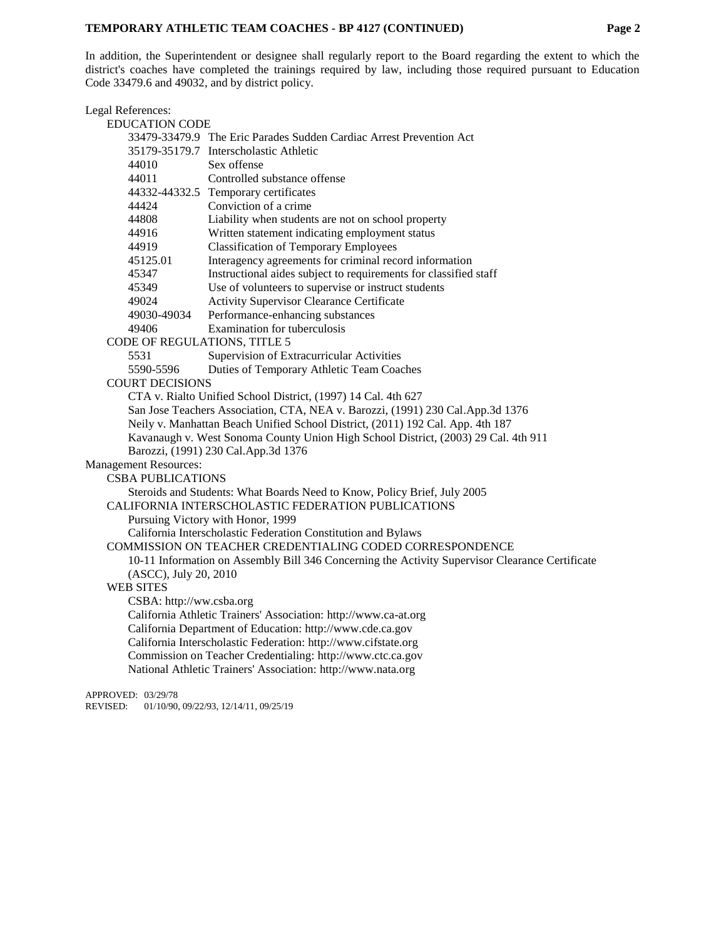### **TEMPORARY ATHLETIC TEAM COACHES - BP 4127 (CONTINUED) Page 2**

In addition, the Superintendent or designee shall regularly report to the Board regarding the extent to which the district's coaches have completed the trainings required by law, including those required pursuant to Education Code [33479.6](http://gamutonline.net/displayPolicy/1076887/4) and [49032,](http://gamutonline.net/displayPolicy/388039/4) and by district policy.

Legal References: EDUCATION CODE [33479](http://gamutonline.net/displayPolicy/1076881/4)[-33479.9](http://gamutonline.net/displayPolicy/1076890/4) The Eric Parades Sudden Cardiac Arrest Prevention Act 35179-35179.7 Interscholastic Athletic [44010](http://www.gamutonline.net/displayPolicy/136083/4) Sex offense [44011](http://www.gamutonline.net/displayPolicy/130492/4) Controlled substance offense [44332](http://www.gamutonline.net/displayPolicy/130685/4)[-44332.5](http://www.gamutonline.net/displayPolicy/130686/4) Temporary certificates [44424](http://www.gamutonline.net/displayPolicy/130732/4) Conviction of a crime [44808](http://www.gamutonline.net/displayPolicy/130923/4) Liability when students are not on school property [44916](http://gamutonline.net/displayPolicy/131010/4) Written statement indicating employment status 44919 Classification of Temporary Employees [45125.01](http://www.gamutonline.net/displayPolicy/138091/4) Interagency agreements for criminal record information [45347](http://www.gamutonline.net/displayPolicy/131923/4) Instructional aides subject to requirements for classified staff [45349](http://www.gamutonline.net/displayPolicy/131925/4) Use of volunteers to supervise or instruct students [49024](http://www.gamutonline.net/displayPolicy/600918/4) Activity Supervisor Clearance Certificate<br>49030-49034 Performance-enhancing substances Performance-enhancing substances [49406](http://www.gamutonline.net/displayPolicy/132348/4) Examination for tuberculosis CODE OF REGULATIONS, TITLE 5 5531 Supervision of Extracurricular Activities 5590-5596 Duties of Temporary Athletic Team Coaches COURT DECISIONS CTA v. Rialto Unified School District, (1997) 14 Cal. 4th 627 San Jose Teachers Association, CTA, NEA v. Barozzi, (1991) 230 Cal.App.3d 1376 Neily v. Manhattan Beach Unified School District, (2011) 192 Cal. App. 4th 187 Kavanaugh v. West Sonoma County Union High School District, (2003) 29 Cal. 4th 911 Barozzi, (1991) 230 Cal.App.3d 1376 Management Resources: CSBA PUBLICATIONS Steroids and Students: What Boards Need to Know, Policy Brief, July 2005 CALIFORNIA INTERSCHOLASTIC FEDERATION PUBLICATIONS Pursuing Victory with Honor, 1999 California Interscholastic Federation Constitution and Bylaws COMMISSION ON TEACHER CREDENTIALING CODED CORRESPONDENCE 10-11 Information on Assembly Bill 346 Concerning the Activity Supervisor Clearance Certificate (ASCC), July 20, 2010 WEB SITES CSBA: [http://ww.csba.org](http://ww.csba.org/) California Athletic Trainers' Association: [http://www.ca-at.org](http://www.ca-at.org/) California Department of Education: [http://www.cde.ca.gov](http://www.cde.ca.gov/) California Interscholastic Federation: [http://www.cifstate.org](http://www.cifstate.org/) Commission on Teacher Credentialing: [http://www.ctc.ca.gov](http://www.ctc.ca.gov/) National Athletic Trainers' Association: [http://www.nata.org](http://www.nata.org/)

APPROVED: 03/29/78

REVISED: 01/10/90, 09/22/93, 12/14/11, 09/25/19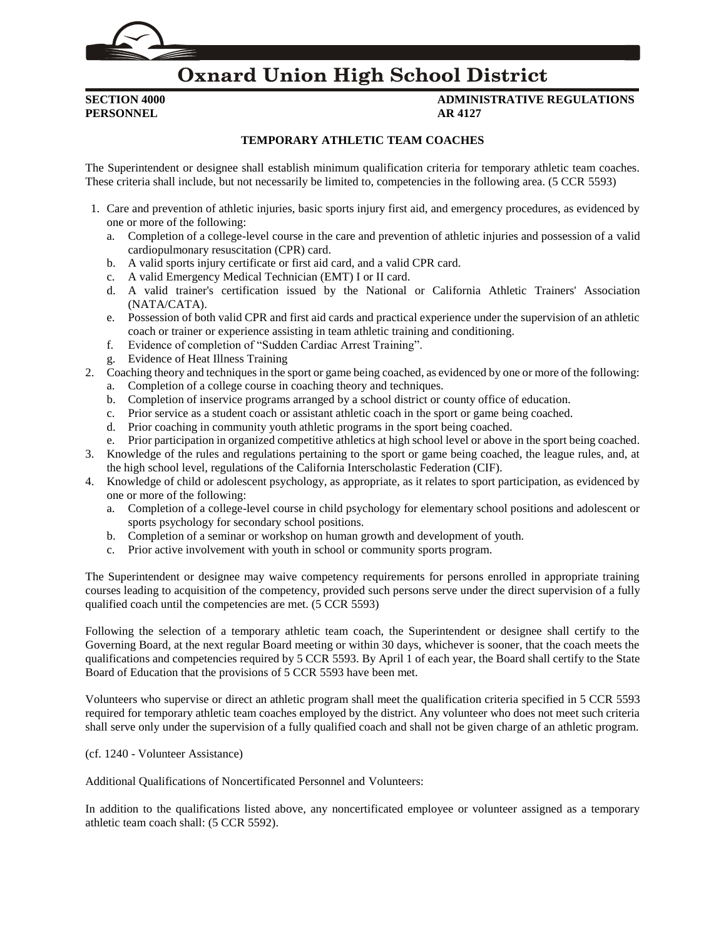# **Oxnard Union High School District**

**PERSONNEL AR 4127**

**SECTION 4000 ADMINISTRATIVE REGULATIONS**

### **TEMPORARY ATHLETIC TEAM COACHES**

The Superintendent or designee shall establish minimum qualification criteria for temporary athletic team coaches. These criteria shall include, but not necessarily be limited to, competencies in the following area. (5 CCR [5593\)](http://gamutonline.net/displayPolicy/187072/4)

- 1. Care and prevention of athletic injuries, basic sports injury first aid, and emergency procedures, as evidenced by one or more of the following:
	- a. Completion of a college-level course in the care and prevention of athletic injuries and possession of a valid cardiopulmonary resuscitation (CPR) card.
	- b. A valid sports injury certificate or first aid card, and a valid CPR card.
	- c. A valid Emergency Medical Technician (EMT) I or II card.
	- d. A valid trainer's certification issued by the National or California Athletic Trainers' Association (NATA/CATA).
	- e. Possession of both valid CPR and first aid cards and practical experience under the supervision of an athletic coach or trainer or experience assisting in team athletic training and conditioning.
	- f. Evidence of completion of "Sudden Cardiac Arrest Training".
	- g. Evidence of Heat Illness Training
- 2. Coaching theory and techniques in the sport or game being coached, as evidenced by one or more of the following: a. Completion of a college course in coaching theory and techniques.
	- b. Completion of inservice programs arranged by a school district or county office of education.
	- c. Prior service as a student coach or assistant athletic coach in the sport or game being coached.
	- d. Prior coaching in community youth athletic programs in the sport being coached.
	- e. Prior participation in organized competitive athletics at high school level or above in the sport being coached.
- 3. Knowledge of the rules and regulations pertaining to the sport or game being coached, the league rules, and, at the high school level, regulations of the California Interscholastic Federation (CIF).
- 4. Knowledge of child or adolescent psychology, as appropriate, as it relates to sport participation, as evidenced by one or more of the following:
	- a. Completion of a college-level course in child psychology for elementary school positions and adolescent or sports psychology for secondary school positions.
	- b. Completion of a seminar or workshop on human growth and development of youth.
	- c. Prior active involvement with youth in school or community sports program.

The Superintendent or designee may waive competency requirements for persons enrolled in appropriate training courses leading to acquisition of the competency, provided such persons serve under the direct supervision of a fully qualified coach until the competencies are met. (5 CCR [5593\)](http://www.gamutonline.net/displayPolicy/187072/4)

Following the selection of a temporary athletic team coach, the Superintendent or designee shall certify to the Governing Board, at the next regular Board meeting or within 30 days, whichever is sooner, that the coach meets the qualifications and competencies required by 5 CCR [5593.](http://www.gamutonline.net/displayPolicy/187072/4) By April 1 of each year, the Board shall certify to the State Board of Education that the provisions of 5 CCR [5593](http://www.gamutonline.net/displayPolicy/187072/4) have been met.

Volunteers who supervise or direct an athletic program shall meet the qualification criteria specified in 5 CCR [5593](http://www.gamutonline.net/displayPolicy/187072/4) required for temporary athletic team coaches employed by the district. Any volunteer who does not meet such criteria shall serve only under the supervision of a fully qualified coach and shall not be given charge of an athletic program.

(cf. [1240](http://gamutonline.net/displayPolicy/274258/4) - Volunteer Assistance)

Additional Qualifications of Noncertificated Personnel and Volunteers:

In addition to the qualifications listed above, any noncertificated employee or volunteer assigned as a temporary athletic team coach shall: (5 CCR [5592\)](http://www.gamutonline.net/displayPolicy/187071/4).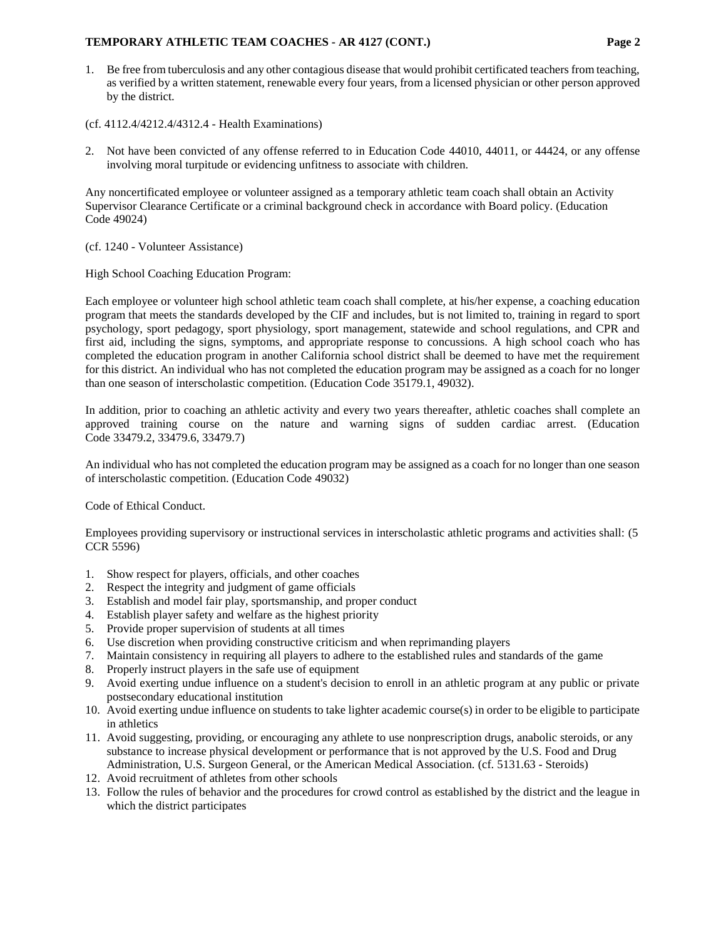### **TEMPORARY ATHLETIC TEAM COACHES - AR 4127 (CONT.) Page 2**

- 1. Be free from tuberculosis and any other contagious disease that would prohibit certificated teachers from teaching, as verified by a written statement, renewable every four years, from a licensed physician or other person approved by the district.
- (cf. [4112.4](http://gamutonline.net/displayPolicy/321721/4)[/4212.4](http://gamutonline.net/displayPolicy/321722/4)[/4312.4](http://gamutonline.net/displayPolicy/321723/4) Health Examinations)
- 2. Not have been convicted of any offense referred to in Education Code [44010,](http://www.gamutonline.net/displayPolicy/136083/4) [44011,](http://www.gamutonline.net/displayPolicy/130492/4) or 44424, or any offense involving moral turpitude or evidencing unfitness to associate with children.

Any noncertificated employee or volunteer assigned as a temporary athletic team coach shall obtain an Activity Supervisor Clearance Certificate or a criminal background check in accordance with Board policy. (Education Code [49024\)](http://gamutonline.net/displayPolicy/600918/4)

(cf. [1240](http://gamutonline.net/displayPolicy/274258/4) - Volunteer Assistance)

High School Coaching Education Program:

Each employee or volunteer high school athletic team coach shall complete, at his/her expense, a coaching education program that meets the standards developed by the CIF and includes, but is not limited to, training in regard to sport psychology, sport pedagogy, sport physiology, sport management, statewide and school regulations, and CPR and first aid, including the signs, symptoms, and appropriate response to concussions. A high school coach who has completed the education program in another California school district shall be deemed to have met the requirement for this district. An individual who has not completed the education program may be assigned as a coach for no longer than one season of interscholastic competition. (Education Cod[e 35179.1,](http://gamutonline.net/displayPolicy/138066/4) [49032\)](http://www.gamutonline.net/displayPolicy/388039/4).

In addition, prior to coaching an athletic activity and every two years thereafter, athletic coaches shall complete an approved training course on the nature and warning signs of sudden cardiac arrest. (Education Code [33479.2,](http://gamutonline.net/displayPolicy/1076883/4) [33479.6,](http://gamutonline.net/displayPolicy/1076887/4) [33479.7\)](http://gamutonline.net/displayPolicy/1076888/4)

An individual who has not completed the education program may be assigned as a coach for no longer than one season of interscholastic competition. (Education Code [49032\)](http://www.gamutonline.net/displayPolicy/388039/4)

Code of Ethical Conduct.

Employees providing supervisory or instructional services in interscholastic athletic programs and activities shall: (5 CCR [5596\)](http://gamutonline.net/displayPolicy/187075/4)

- 1. Show respect for players, officials, and other coaches
- 2. Respect the integrity and judgment of game officials
- 3. Establish and model fair play, sportsmanship, and proper conduct
- 4. Establish player safety and welfare as the highest priority
- 5. Provide proper supervision of students at all times
- 6. Use discretion when providing constructive criticism and when reprimanding players
- 7. Maintain consistency in requiring all players to adhere to the established rules and standards of the game
- 8. Properly instruct players in the safe use of equipment
- 9. Avoid exerting undue influence on a student's decision to enroll in an athletic program at any public or private postsecondary educational institution
- 10. Avoid exerting undue influence on students to take lighter academic course(s) in order to be eligible to participate in athletics
- 11. Avoid suggesting, providing, or encouraging any athlete to use nonprescription drugs, anabolic steroids, or any substance to increase physical development or performance that is not approved by the U.S. Food and Drug Administration, U.S. Surgeon General, or the American Medical Association. (cf. [5131.63](http://gamutonline.net/displayPolicy/171232/4) - Steroids)
- 12. Avoid recruitment of athletes from other schools
- 13. Follow the rules of behavior and the procedures for crowd control as established by the district and the league in which the district participates